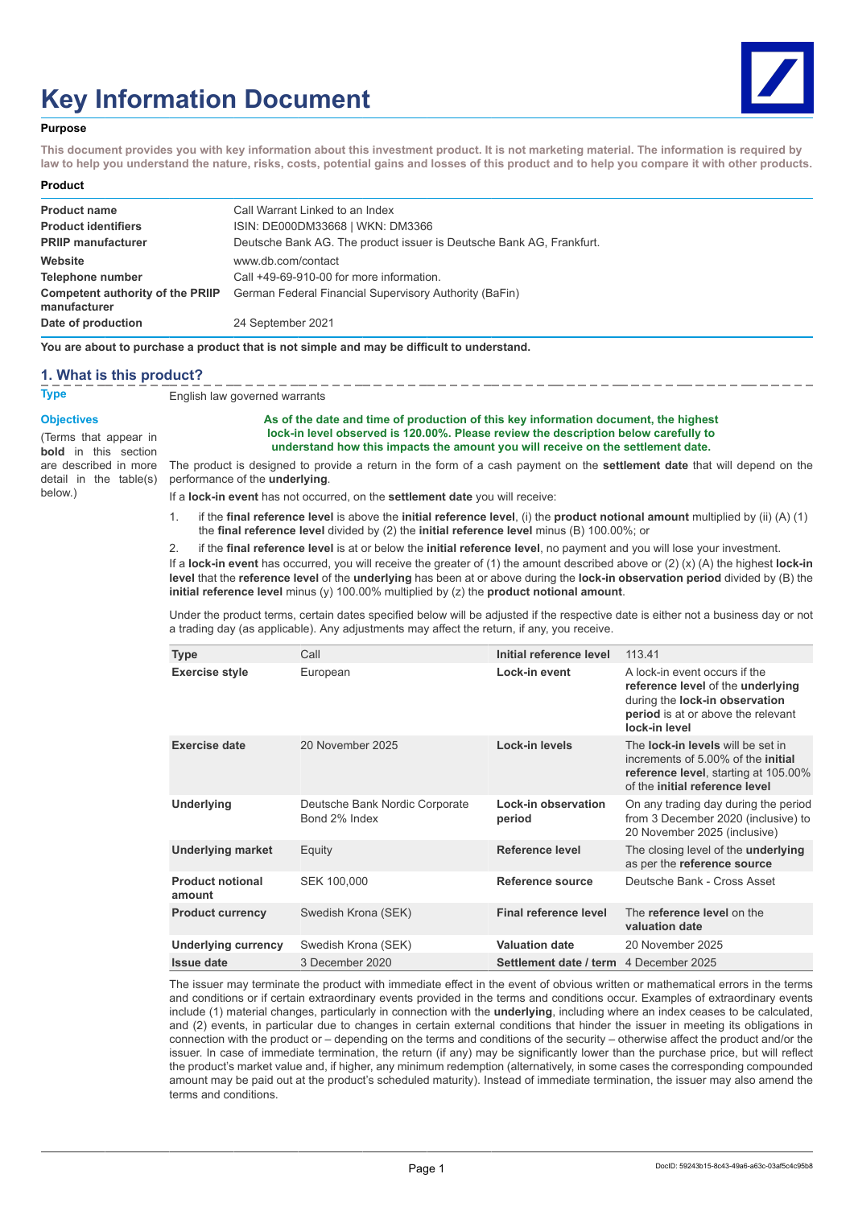# **Key Information Document**



#### **Purpose**

**This document provides you with key information about this investment product. It is not marketing material. The information is required by law to help you understand the nature, risks, costs, potential gains and losses of this product and to help you compare it with other products.**

#### **Product**

| <b>Product name</b>                              | Call Warrant Linked to an Index                                      |
|--------------------------------------------------|----------------------------------------------------------------------|
| <b>Product identifiers</b>                       | ISIN: DE000DM33668   WKN: DM3366                                     |
| <b>PRIIP manufacturer</b>                        | Deutsche Bank AG. The product issuer is Deutsche Bank AG. Frankfurt. |
| Website                                          | www.db.com/contact                                                   |
| Telephone number                                 | Call +49-69-910-00 for more information.                             |
| Competent authority of the PRIIP<br>manufacturer | German Federal Financial Supervisory Authority (BaFin)               |
| Date of production                               | 24 September 2021                                                    |

**You are about to purchase a product that is not simple and may be difficult to understand.**

#### **1. What is this product?**

**Type** English law governed warrants

#### **Objectives**

(Terms that appear in **bold** in this section detail in the table(s) below.)

#### **As of the date and time of production of this key information document, the highest lock-in level observed is 120.00%. Please review the description below carefully to understand how this impacts the amount you will receive on the settlement date.**

are described in more The product is designed to provide a return in the form of a cash payment on the **settlement date** that will depend on the performance of the **underlying**.

If a **lock-in event** has not occurred, on the **settlement date** you will receive:

1. if the **final reference level** is above the **initial reference level**, (i) the **product notional amount** multiplied by (ii) (A) (1) the **final reference level** divided by (2) the **initial reference level** minus (B) 100.00%; or

2. if the **final reference level** is at or below the **initial reference level**, no payment and you will lose your investment. If a **lock-in event** has occurred, you will receive the greater of (1) the amount described above or (2) (x) (A) the highest **lock-in level** that the **reference level** of the **underlying** has been at or above during the **lock-in observation period** divided by (B) the **initial reference level** minus (y) 100.00% multiplied by (z) the **product notional amount**.

Under the product terms, certain dates specified below will be adjusted if the respective date is either not a business day or not a trading day (as applicable). Any adjustments may affect the return, if any, you receive.

| <b>Type</b>                       | Call                                            | Initial reference level       | 113.41                                                                                                                                                                 |
|-----------------------------------|-------------------------------------------------|-------------------------------|------------------------------------------------------------------------------------------------------------------------------------------------------------------------|
| <b>Exercise style</b>             | European                                        | Lock-in event                 | A lock-in event occurs if the<br>reference level of the underlying<br>during the lock-in observation<br>period is at or above the relevant<br>lock-in level            |
| <b>Exercise date</b>              | 20 November 2025                                | Lock-in levels                | The <b>lock-in levels</b> will be set in<br>increments of 5,00% of the <b>initial</b><br><b>reference level, starting at 105.00%</b><br>of the initial reference level |
| Underlying                        | Deutsche Bank Nordic Corporate<br>Bond 2% Index | Lock-in observation<br>period | On any trading day during the period<br>from 3 December 2020 (inclusive) to<br>20 November 2025 (inclusive)                                                            |
| Underlying market                 | Equity                                          | Reference level               | The closing level of the <b>underlying</b><br>as per the reference source                                                                                              |
| <b>Product notional</b><br>amount | SEK 100,000                                     | Reference source              | Deutsche Bank - Cross Asset                                                                                                                                            |
| <b>Product currency</b>           | Swedish Krona (SEK)                             | Final reference level         | The reference level on the<br>valuation date                                                                                                                           |
| Underlying currency               | Swedish Krona (SEK)                             | <b>Valuation date</b>         | 20 November 2025                                                                                                                                                       |
| <b>Issue date</b>                 | 3 December 2020                                 | Settlement date / term        | 4 December 2025                                                                                                                                                        |

The issuer may terminate the product with immediate effect in the event of obvious written or mathematical errors in the terms and conditions or if certain extraordinary events provided in the terms and conditions occur. Examples of extraordinary events include (1) material changes, particularly in connection with the **underlying**, including where an index ceases to be calculated, and (2) events, in particular due to changes in certain external conditions that hinder the issuer in meeting its obligations in connection with the product or – depending on the terms and conditions of the security – otherwise affect the product and/or the issuer. In case of immediate termination, the return (if any) may be significantly lower than the purchase price, but will reflect the product's market value and, if higher, any minimum redemption (alternatively, in some cases the corresponding compounded amount may be paid out at the product's scheduled maturity). Instead of immediate termination, the issuer may also amend the terms and conditions.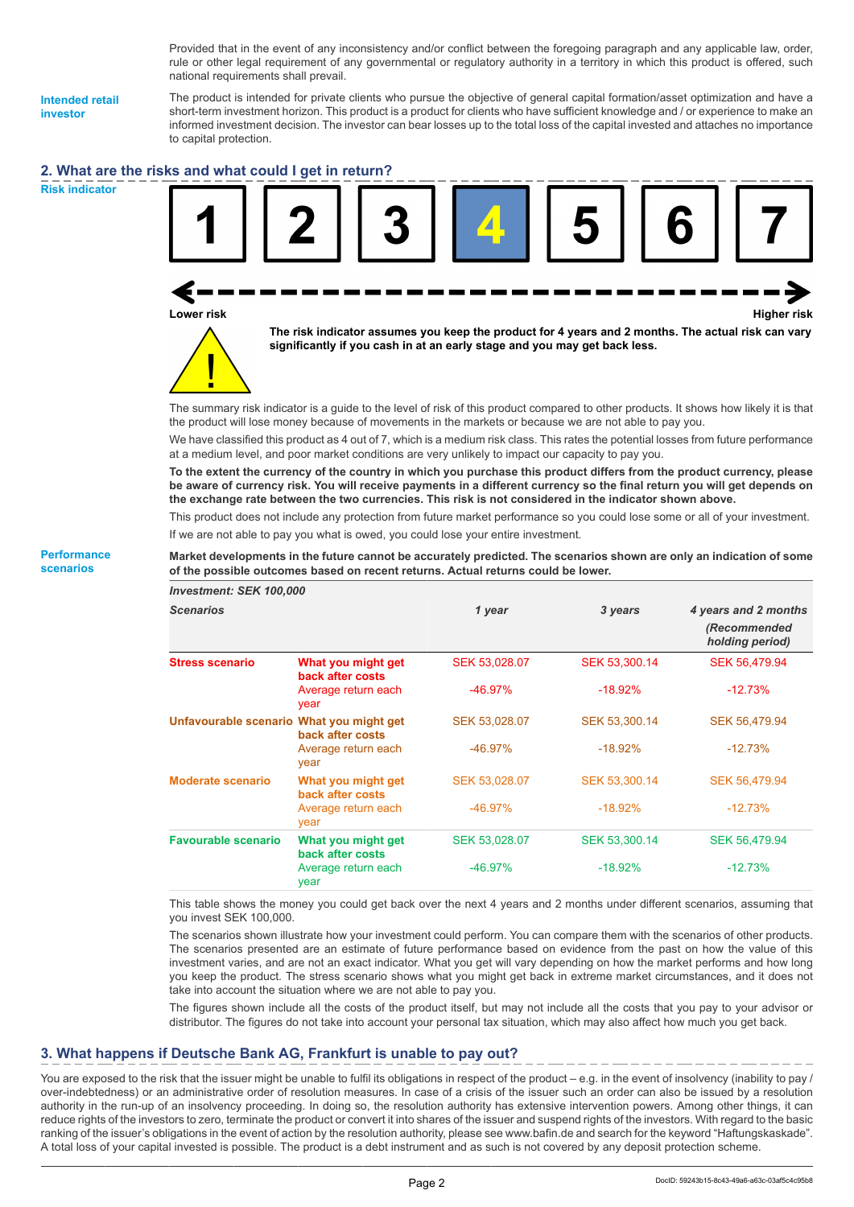Provided that in the event of any inconsistency and/or conflict between the foregoing paragraph and any applicable law, order, rule or other legal requirement of any governmental or regulatory authority in a territory in which this product is offered, such national requirements shall prevail.

**Intended retail investor**

The product is intended for private clients who pursue the objective of general capital formation/asset optimization and have a short-term investment horizon. This product is a product for clients who have sufficient knowledge and / or experience to make an informed investment decision. The investor can bear losses up to the total loss of the capital invested and attaches no importance to capital protection.

## **2. What are the risks and what could I get in return?**

**Risk indicator**

**Performance scenarios**







**The risk indicator assumes you keep the product for 4 years and 2 months. The actual risk can vary significantly if you cash in at an early stage and you may get back less.**

The summary risk indicator is a guide to the level of risk of this product compared to other products. It shows how likely it is that the product will lose money because of movements in the markets or because we are not able to pay you.

We have classified this product as 4 out of 7, which is a medium risk class. This rates the potential losses from future performance at a medium level, and poor market conditions are very unlikely to impact our capacity to pay you.

**To the extent the currency of the country in which you purchase this product differs from the product currency, please be aware of currency risk. You will receive payments in a different currency so the final return you will get depends on the exchange rate between the two currencies. This risk is not considered in the indicator shown above.**

This product does not include any protection from future market performance so you could lose some or all of your investment. If we are not able to pay you what is owed, you could lose your entire investment.

**Market developments in the future cannot be accurately predicted. The scenarios shown are only an indication of some of the possible outcomes based on recent returns. Actual returns could be lower.** *Investment: SEK 100,000*

| <b>IIIVESUIIEIIL. JEN IUU,UUU</b>        |                                        |               |               |                                 |
|------------------------------------------|----------------------------------------|---------------|---------------|---------------------------------|
| <b>Scenarios</b>                         |                                        | 1 year        | 3 years       | 4 years and 2 months            |
|                                          |                                        |               |               | (Recommended<br>holding period) |
| <b>Stress scenario</b>                   | What you might get<br>back after costs | SEK 53,028.07 | SEK 53,300.14 | SEK 56,479.94                   |
|                                          | Average return each<br>year            | $-46.97%$     | $-18.92%$     | $-12.73%$                       |
| Unfavourable scenario What you might get | back after costs                       | SEK 53,028.07 | SEK 53,300.14 | SEK 56,479.94                   |
|                                          | Average return each<br>year            | -46.97%       | $-18.92\%$    | $-12.73%$                       |
| <b>Moderate scenario</b>                 | What you might get<br>back after costs | SEK 53,028.07 | SEK 53,300.14 | SEK 56,479.94                   |
|                                          | Average return each<br>year            | $-46.97%$     | $-18.92%$     | $-12.73%$                       |
| <b>Favourable scenario</b>               | What you might get<br>back after costs | SEK 53,028.07 | SEK 53,300.14 | SEK 56,479.94                   |
|                                          | Average return each<br>year            | $-46.97\%$    | $-18.92\%$    | $-12.73%$                       |

This table shows the money you could get back over the next 4 years and 2 months under different scenarios, assuming that you invest SEK 100,000.

The scenarios shown illustrate how your investment could perform. You can compare them with the scenarios of other products. The scenarios presented are an estimate of future performance based on evidence from the past on how the value of this investment varies, and are not an exact indicator. What you get will vary depending on how the market performs and how long you keep the product. The stress scenario shows what you might get back in extreme market circumstances, and it does not take into account the situation where we are not able to pay you.

The figures shown include all the costs of the product itself, but may not include all the costs that you pay to your advisor or distributor. The figures do not take into account your personal tax situation, which may also affect how much you get back.

# **3. What happens if Deutsche Bank AG, Frankfurt is unable to pay out?**

You are exposed to the risk that the issuer might be unable to fulfil its obligations in respect of the product – e.g. in the event of insolvency (inability to pay / over-indebtedness) or an administrative order of resolution measures. In case of a crisis of the issuer such an order can also be issued by a resolution authority in the run-up of an insolvency proceeding. In doing so, the resolution authority has extensive intervention powers. Among other things, it can reduce rights of the investors to zero, terminate the product or convert it into shares of the issuer and suspend rights of the investors. With regard to the basic ranking of the issuer's obligations in the event of action by the resolution authority, please see www.bafin.de and search for the keyword "Haftungskaskade". A total loss of your capital invested is possible. The product is a debt instrument and as such is not covered by any deposit protection scheme.